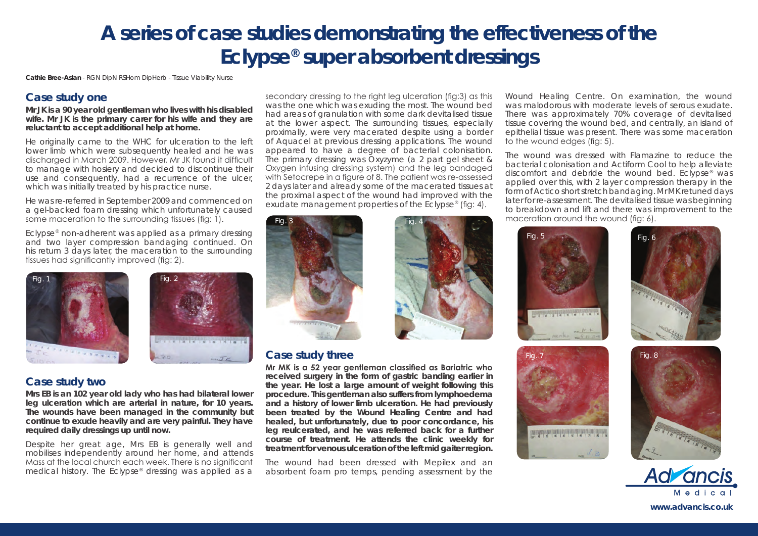# **A series of case studies demonstrating the effectiveness of the Eclypse® super absorbent dressings**

**Cathie Bree-Aslan** - RGN DipN RSHom DipHerb - Tissue Viability Nurse

#### **Case study one**

**Mr JK is a 90 year old gentleman who lives with his disabled wife. Mr JK is the primary carer for his wife and they are reluctant to accept additional help at home.**

He originally came to the WHC for ulceration to the left lower limb which were subsequently healed and he was discharged in March 2009. However, Mr JK found it difficult to manage with hosiery and decided to discontinue their use and consequently, had a recurrence of the ulcer, which was initially treated by his practice nurse.

He was re-referred in September 2009 and commenced on a gel-backed foam dressing which unfortunately caused some maceration to the surrounding tissues (fig: 1).

Eclypse® non-adherent was applied as a primary dressing and two layer compression bandaging continued. On his return 3 days later, the maceration to the surrounding tissues had significantly improved (fig: 2).





### **Case study two**

**Mrs EB is an 102 year old lady who has had bilateral lower leg ulceration which are arterial in nature, for 10 years. The wounds have been managed in the community but continue to exude heavily and are very painful. They have required daily dressings up until now.**

Despite her great age, Mrs EB is generally well and mobilises independently around her home, and attends Mass at the local church each week. There is no significant medical history. The Eclypse® dressing was applied as a

secondary dressing to the right leg ulceration (fig:3) as this was the one which was exuding the most. The wound bed had areas of granulation with some dark devitalised tissue at the lower aspect. The surrounding tissues, especially proximally, were very macerated despite using a border of Aquacel at previous dressing applications. The wound appeared to have a degree of bacterial colonisation. The primary dressing was Oxyzyme (a 2 part gel sheet & Oxygen infusing dressing system) and the leg bandaged with Setocrepe in a figure of 8. The patient was re-assessed 2 days later and already some of the macerated tissues at the proximal aspect of the wound had improved with the exudate management properties of the Eclypse® (fig: 4).





### **Case study three**

**Mr MK is a 52 year gentleman classified as Bariatric who received surgery in the form of gastric banding earlier in the year. He lost a large amount of weight following this procedure. This gentleman also suffers from lymphoedema and a history of lower limb ulceration. He had previously been treated by the Wound Healing Centre and had healed, but unfortunately, due to poor concordance, his leg reulcerated, and he was referred back for a further course of treatment. He attends the clinic weekly for treatment for venous ulceration of the left mid gaiter region.**

The wound had been dressed with Mepilex and an absorbent foam pro temps, pending assessment by the

Wound Healing Centre. On examination, the wound was malodorous with moderate levels of serous exudate. There was approximately 70% coverage of devitalised tissue covering the wound bed, and centrally, an island of epithelial tissue was present. There was some maceration to the wound edges (fig: 5).

The wound was dressed with Flamazine to reduce the bacterial colonisation and Actiform Cool to help alleviate discomfort and debride the wound bed. Eclypse® was applied over this, with 2 layer compression therapy in the form of Actico short stretch bandaging. Mr MK retuned days later for re-assessment. The devitalised tissue was beginning to breakdown and lift and there was improvement to the maceration around the wound (fig: 6).



**The American Science of the American Science**